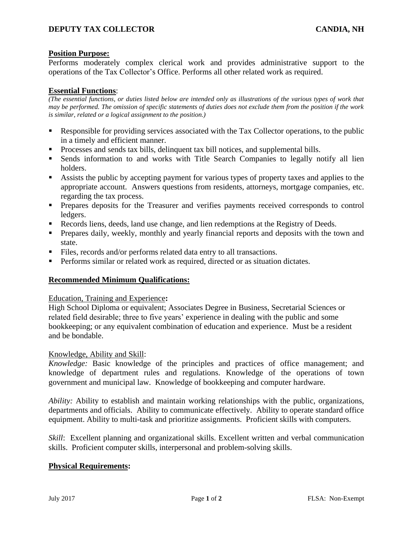## **DEPUTY TAX COLLECTOR CANDIA, NH**

## **Position Purpose:**

Performs moderately complex clerical work and provides administrative support to the operations of the Tax Collector's Office. Performs all other related work as required.

## **Essential Functions**:

*(The essential functions, or duties listed below are intended only as illustrations of the various types of work that may be performed. The omission of specific statements of duties does not exclude them from the position if the work is similar, related or a logical assignment to the position.)*

- Responsible for providing services associated with the Tax Collector operations, to the public in a timely and efficient manner.
- **•** Processes and sends tax bills, delinquent tax bill notices, and supplemental bills.
- **Example 1** Sends information to and works with Title Search Companies to legally notify all lien holders.
- Assists the public by accepting payment for various types of property taxes and applies to the appropriate account. Answers questions from residents, attorneys, mortgage companies, etc. regarding the tax process.
- Prepares deposits for the Treasurer and verifies payments received corresponds to control ledgers.
- Records liens, deeds, land use change, and lien redemptions at the Registry of Deeds.
- Prepares daily, weekly, monthly and yearly financial reports and deposits with the town and state.
- Files, records and/or performs related data entry to all transactions.
- **•** Performs similar or related work as required, directed or as situation dictates.

## **Recommended Minimum Qualifications:**

#### Education, Training and Experience**:**

High School Diploma or equivalent; Associates Degree in Business, Secretarial Sciences or related field desirable; three to five years' experience in dealing with the public and some bookkeeping; or any equivalent combination of education and experience. Must be a resident and be bondable.

#### Knowledge, Ability and Skill:

*Knowledge:* Basic knowledge of the principles and practices of office management; and knowledge of department rules and regulations. Knowledge of the operations of town government and municipal law. Knowledge of bookkeeping and computer hardware.

*Ability:* Ability to establish and maintain working relationships with the public, organizations, departments and officials. Ability to communicate effectively. Ability to operate standard office equipment. Ability to multi-task and prioritize assignments. Proficient skills with computers.

*Skill*: Excellent planning and organizational skills. Excellent written and verbal communication skills. Proficient computer skills, interpersonal and problem-solving skills.

#### **Physical Requirements:**